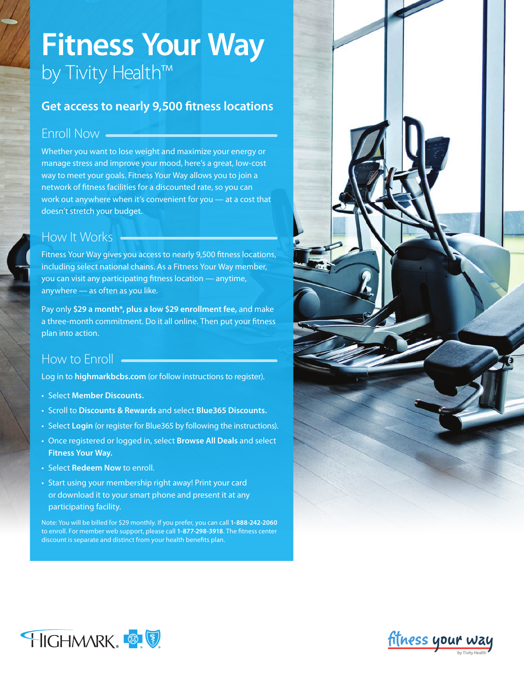# **Fitness Your Way by Tivity Health™**

#### **Get access to nearly 9,500 fitness locations**

## Enroll Now

Whether you want to lose weight and maximize your energy or manage stress and improve your mood, here's a great, low-cost way to meet your goals. Fitness Your Way allows you to join a network of fitness facilities for a discounted rate, so you can work out anywhere when it's convenient for you — at a cost that doesn't stretch your budget.

### How It Works

Fitness Your Way gives you access to nearly 9,500 fitness locations, including select national chains. As a Fitness Your Way member, you can visit any participating fitness location — anytime, anywhere — as often as you like.

Pay only **\$29 a month\*, plus a low \$29 enrollment fee,** and make a three-month commitment. Do it all online. Then put your fitness plan into action.

## How to Enroll

Log in to **highmarkbcbs.com** (or follow instructions to register).

- Select **Member Discounts.**
- Scroll to **Discounts & Rewards** and select **Blue365 Discounts.**
- Select **Login** (or register for Blue365 by following the instructions).
- Once registered or logged in, select **Browse All Deals** and select **Fitness Your Way.**
- Select **Redeem Now** to enroll.
- Start using your membership right away! Print your card or download it to your smart phone and present it at any participating facility.

Note: You will be billed for \$29 monthly. If you prefer, you can call **1-888-242-2060** to enroll. For member web support, please call **1-877-298-3918**. The fitness center discount is separate and distinct from your health benefits plan.